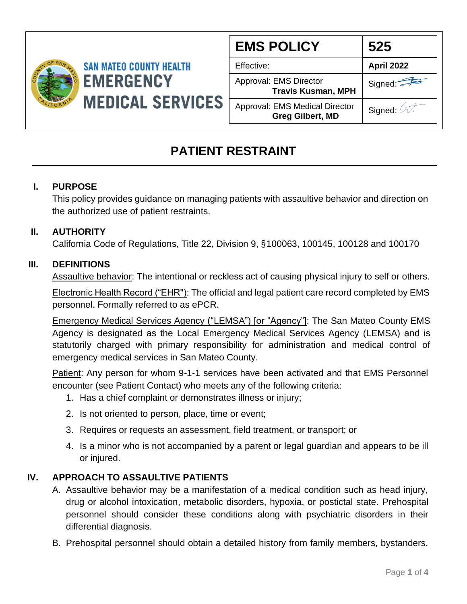

| <b>EMS POLICY</b>                                                | 525        |
|------------------------------------------------------------------|------------|
| Effective:                                                       | April 2022 |
| Approval: EMS Director<br><b>Travis Kusman, MPH</b>              | Signed:    |
| <b>Approval: EMS Medical Director</b><br><b>Greg Gilbert, MD</b> | Signed: A  |

# **PATIENT RESTRAINT**

### **I. PURPOSE**

This policy provides guidance on managing patients with assaultive behavior and direction on the authorized use of patient restraints.

#### **II. AUTHORITY**

California Code of Regulations, Title 22, Division 9, §100063, 100145, 100128 and 100170

#### **III. DEFINITIONS**

Assaultive behavior: The intentional or reckless act of causing physical injury to self or others.

Electronic Health Record ("EHR"): The official and legal patient care record completed by EMS personnel. Formally referred to as ePCR.

Emergency Medical Services Agency ("LEMSA") [or "Agency"]: The San Mateo County EMS Agency is designated as the Local Emergency Medical Services Agency (LEMSA) and is statutorily charged with primary responsibility for administration and medical control of emergency medical services in San Mateo County.

Patient: Any person for whom 9-1-1 services have been activated and that EMS Personnel encounter (see Patient Contact) who meets any of the following criteria:

- 1. Has a chief complaint or demonstrates illness or injury;
- 2. Is not oriented to person, place, time or event;
- 3. Requires or requests an assessment, field treatment, or transport; or
- 4. Is a minor who is not accompanied by a parent or legal guardian and appears to be ill or injured.

#### **IV. APPROACH TO ASSAULTIVE PATIENTS**

- A. Assaultive behavior may be a manifestation of a medical condition such as head injury, drug or alcohol intoxication, metabolic disorders, hypoxia, or postictal state. Prehospital personnel should consider these conditions along with psychiatric disorders in their differential diagnosis.
- B. Prehospital personnel should obtain a detailed history from family members, bystanders,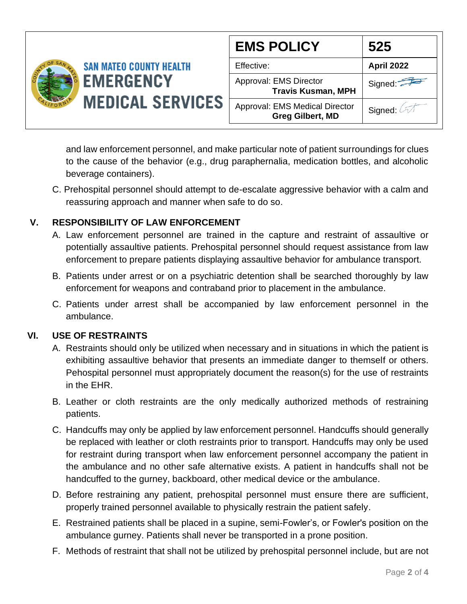

and law enforcement personnel, and make particular note of patient surroundings for clues to the cause of the behavior (e.g., drug paraphernalia, medication bottles, and alcoholic beverage containers).

C. Prehospital personnel should attempt to de-escalate aggressive behavior with a calm and reassuring approach and manner when safe to do so.

#### **V. RESPONSIBILITY OF LAW ENFORCEMENT**

- A. Law enforcement personnel are trained in the capture and restraint of assaultive or potentially assaultive patients. Prehospital personnel should request assistance from law enforcement to prepare patients displaying assaultive behavior for ambulance transport.
- B. Patients under arrest or on a psychiatric detention shall be searched thoroughly by law enforcement for weapons and contraband prior to placement in the ambulance.
- C. Patients under arrest shall be accompanied by law enforcement personnel in the ambulance.

#### **VI. USE OF RESTRAINTS**

- A. Restraints should only be utilized when necessary and in situations in which the patient is exhibiting assaultive behavior that presents an immediate danger to themself or others. Pehospital personnel must appropriately document the reason(s) for the use of restraints in the EHR.
- B. Leather or cloth restraints are the only medically authorized methods of restraining patients.
- C. Handcuffs may only be applied by law enforcement personnel. Handcuffs should generally be replaced with leather or cloth restraints prior to transport. Handcuffs may only be used for restraint during transport when law enforcement personnel accompany the patient in the ambulance and no other safe alternative exists. A patient in handcuffs shall not be handcuffed to the gurney, backboard, other medical device or the ambulance.
- D. Before restraining any patient, prehospital personnel must ensure there are sufficient, properly trained personnel available to physically restrain the patient safely.
- E. Restrained patients shall be placed in a supine, semi-Fowler's, or Fowler's position on the ambulance gurney. Patients shall never be transported in a prone position.
- F. Methods of restraint that shall not be utilized by prehospital personnel include, but are not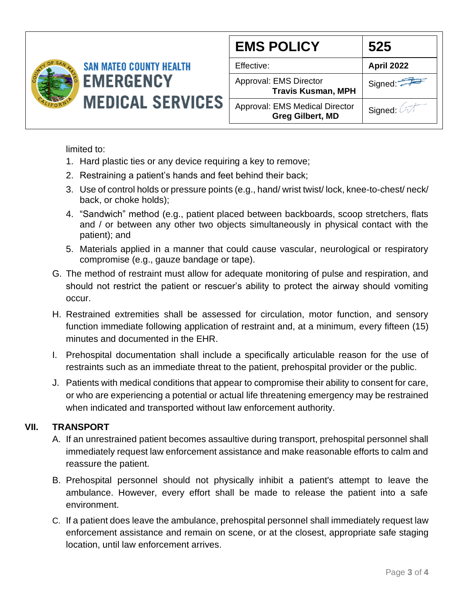

| <b>EMS POLICY</b>                                         | 525        |
|-----------------------------------------------------------|------------|
| Effective:                                                | April 2022 |
| Approval: EMS Director<br><b>Travis Kusman, MPH</b>       | Signed:    |
| Approval: EMS Medical Director<br><b>Greg Gilbert, MD</b> | Signed: 2  |

limited to:

- 1. Hard plastic ties or any device requiring a key to remove;
- 2. Restraining a patient's hands and feet behind their back;
- 3. Use of control holds or pressure points (e.g., hand/ wrist twist/ lock, knee-to-chest/ neck/ back, or choke holds);
- 4. "Sandwich" method (e.g., patient placed between backboards, scoop stretchers, flats and / or between any other two objects simultaneously in physical contact with the patient); and
- 5. Materials applied in a manner that could cause vascular, neurological or respiratory compromise (e.g., gauze bandage or tape).
- G. The method of restraint must allow for adequate monitoring of pulse and respiration, and should not restrict the patient or rescuer's ability to protect the airway should vomiting occur.
- H. Restrained extremities shall be assessed for circulation, motor function, and sensory function immediate following application of restraint and, at a minimum, every fifteen (15) minutes and documented in the EHR.
- I. Prehospital documentation shall include a specifically articulable reason for the use of restraints such as an immediate threat to the patient, prehospital provider or the public.
- J. Patients with medical conditions that appear to compromise their ability to consent for care, or who are experiencing a potential or actual life threatening emergency may be restrained when indicated and transported without law enforcement authority.

## **VII. TRANSPORT**

- A. If an unrestrained patient becomes assaultive during transport, prehospital personnel shall immediately request law enforcement assistance and make reasonable efforts to calm and reassure the patient.
- B. Prehospital personnel should not physically inhibit a patient's attempt to leave the ambulance. However, every effort shall be made to release the patient into a safe environment.
- C. If a patient does leave the ambulance, prehospital personnel shall immediately request law enforcement assistance and remain on scene, or at the closest, appropriate safe staging location, until law enforcement arrives.